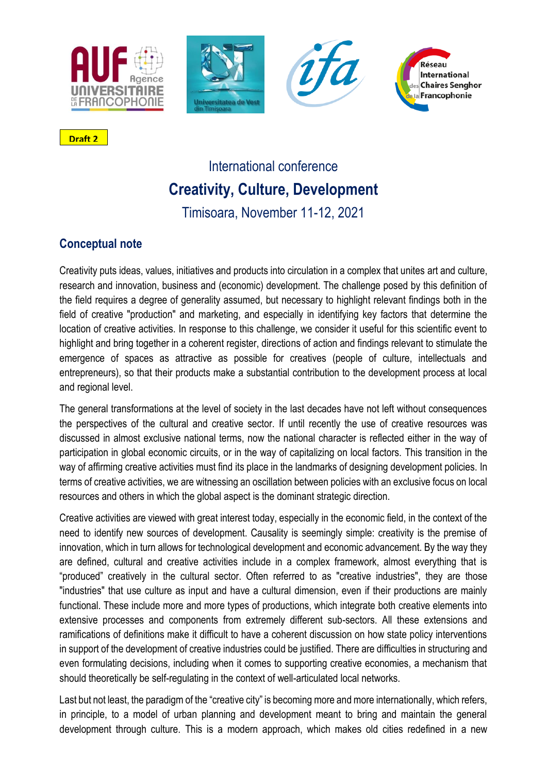







**Draft 2**

# International conference **Creativity, Culture, Development**

Timisoara, November 11-12, 2021

# **Conceptual note**

Creativity puts ideas, values, initiatives and products into circulation in a complex that unites art and culture, research and innovation, business and (economic) development. The challenge posed by this definition of the field requires a degree of generality assumed, but necessary to highlight relevant findings both in the field of creative "production" and marketing, and especially in identifying key factors that determine the location of creative activities. In response to this challenge, we consider it useful for this scientific event to highlight and bring together in a coherent register, directions of action and findings relevant to stimulate the emergence of spaces as attractive as possible for creatives (people of culture, intellectuals and entrepreneurs), so that their products make a substantial contribution to the development process at local and regional level.

The general transformations at the level of society in the last decades have not left without consequences the perspectives of the cultural and creative sector. If until recently the use of creative resources was discussed in almost exclusive national terms, now the national character is reflected either in the way of participation in global economic circuits, or in the way of capitalizing on local factors. This transition in the way of affirming creative activities must find its place in the landmarks of designing development policies. In terms of creative activities, we are witnessing an oscillation between policies with an exclusive focus on local resources and others in which the global aspect is the dominant strategic direction.

Creative activities are viewed with great interest today, especially in the economic field, in the context of the need to identify new sources of development. Causality is seemingly simple: creativity is the premise of innovation, which in turn allows for technological development and economic advancement. By the way they are defined, cultural and creative activities include in a complex framework, almost everything that is "produced" creatively in the cultural sector. Often referred to as "creative industries", they are those "industries" that use culture as input and have a cultural dimension, even if their productions are mainly functional. These include more and more types of productions, which integrate both creative elements into extensive processes and components from extremely different sub-sectors. All these extensions and ramifications of definitions make it difficult to have a coherent discussion on how state policy interventions in support of the development of creative industries could be justified. There are difficulties in structuring and even formulating decisions, including when it comes to supporting creative economies, a mechanism that should theoretically be self-regulating in the context of well-articulated local networks.

Last but not least, the paradigm of the "creative city" is becoming more and more internationally, which refers, in principle, to a model of urban planning and development meant to bring and maintain the general development through culture. This is a modern approach, which makes old cities redefined in a new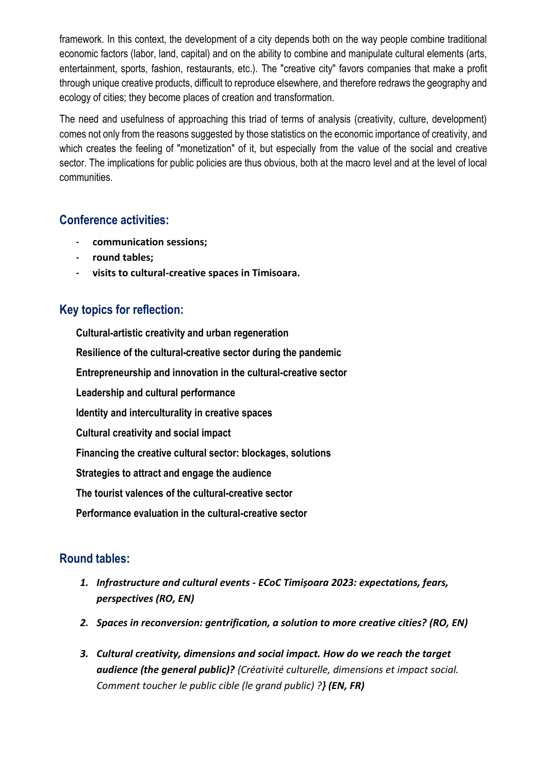framework. In this context, the development of a city depends both on the way people combine traditional economic factors (labor, land, capital) and on the ability to combine and manipulate cultural elements (arts, entertainment, sports, fashion, restaurants, etc.). The "creative city" favors companies that make a profit through unique creative products, difficult to reproduce elsewhere, and therefore redraws the geography and ecology of cities; they become places of creation and transformation.

The need and usefulness of approaching this triad of terms of analysis (creativity, culture, development) comes not only from the reasons suggested by those statistics on the economic importance of creativity, and which creates the feeling of "monetization" of it, but especially from the value of the social and creative sector. The implications for public policies are thus obvious, both at the macro level and at the level of local communities.

## **Conference activities:**

- **communication sessions;**
- **round tables;**
- **visits to cultural-creative spaces in Timisoara.**

# **Key topics for reflection:**

**Cultural-artistic creativity and urban regeneration Resilience of the cultural-creative sector during the pandemic Entrepreneurship and innovation in the cultural-creative sector Leadership and cultural performance Identity and interculturality in creative spaces Cultural creativity and social impact Financing the creative cultural sector: blockages, solutions Strategies to attract and engage the audience The tourist valences of the cultural-creative sector Performance evaluation in the cultural-creative sector**

# **Round tables:**

- *1. Infrastructure and cultural events - ECoC Timișoara 2023: expectations, fears, perspectives (RO, EN)*
- *2. Spaces in reconversion: gentrification, a solution to more creative cities? (RO, EN)*
- *3. Cultural creativity, dimensions and social impact. How do we reach the target audience (the general public)? {Créativité culturelle, dimensions et impact social. Comment toucher le public cible (le grand public) ?} (EN, FR)*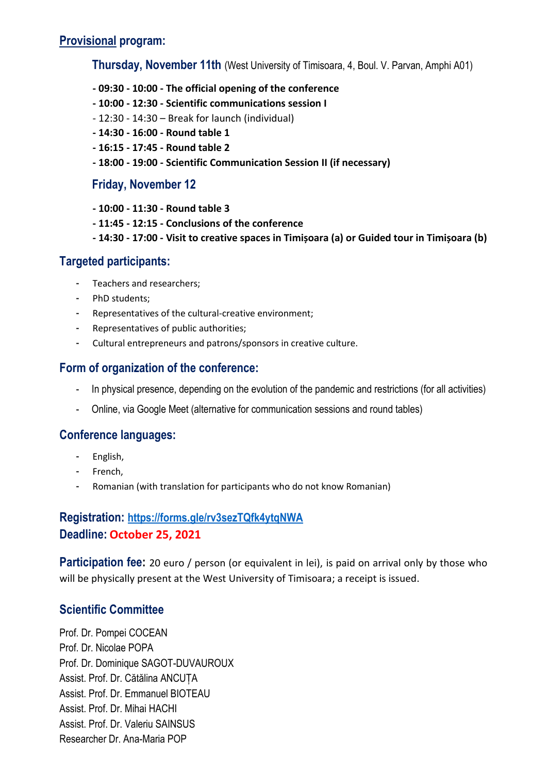### **Provisional program:**

**Thursday, November 11th** (West University of Timisoara, 4, Boul. V. Parvan, Amphi A01)

- **- 09:30 - 10:00 - The official opening of the conference**
- **- 10:00 - 12:30 - Scientific communications session I**
- 12:30 14:30 Break for launch (individual)
- **- 14:30 - 16:00 - Round table 1**
- **- 16:15 - 17:45 - Round table 2**
- **- 18:00 - 19:00 - Scientific Communication Session II (if necessary)**

#### **Friday, November 12**

- **- 10:00 - 11:30 - Round table 3**
- **- 11:45 - 12:15 - Conclusions of the conference**
- **- 14:30 - 17:00 - Visit to creative spaces in Timișoara (a) or Guided tour in Timișoara (b)**

#### **Targeted participants:**

- Teachers and researchers;
- PhD students;
- Representatives of the cultural-creative environment;
- Representatives of public authorities;
- Cultural entrepreneurs and patrons/sponsors in creative culture.

#### **Form of organization of the conference:**

- In physical presence, depending on the evolution of the pandemic and restrictions (for all activities)
- Online, via Google Meet (alternative for communication sessions and round tables)

#### **Conference languages:**

- English,
- French,
- Romanian (with translation for participants who do not know Romanian)

# **Registration: <https://forms.gle/rv3sezTQfk4ytqNWA> Deadline: October 25, 2021**

**Participation fee:** 20 euro / person (or equivalent in lei), is paid on arrival only by those who will be physically present at the West University of Timisoara; a receipt is issued.

#### **Scientific Committee**

Prof. Dr. Pompei COCEAN Prof. Dr. Nicolae POPA Prof. Dr. Dominique SAGOT-DUVAUROUX Assist. Prof. Dr. Cătălina ANCUȚA Assist. Prof. Dr. Emmanuel BIOTEAU Assist. Prof. Dr. Mihai HACHI Assist. Prof. Dr. Valeriu SAINSUS Researcher Dr. Ana-Maria POP